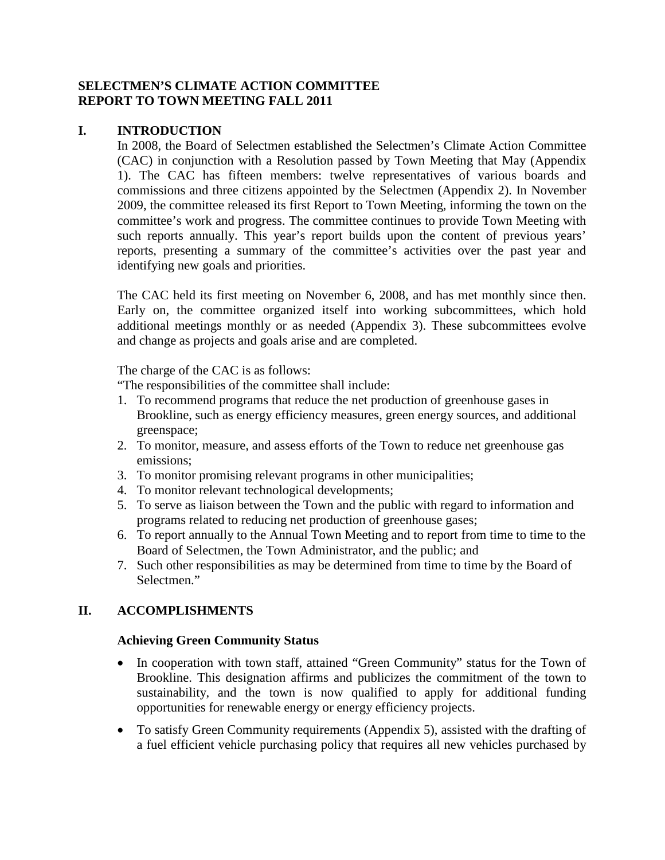## **SELECTMEN'S CLIMATE ACTION COMMITTEE REPORT TO TOWN MEETING FALL 2011**

## **I. INTRODUCTION**

In 2008, the Board of Selectmen established the Selectmen's Climate Action Committee (CAC) in conjunction with a Resolution passed by Town Meeting that May (Appendix 1). The CAC has fifteen members: twelve representatives of various boards and commissions and three citizens appointed by the Selectmen (Appendix 2). In November 2009, the committee released its first Report to Town Meeting, informing the town on the committee's work and progress. The committee continues to provide Town Meeting with such reports annually. This year's report builds upon the content of previous years' reports, presenting a summary of the committee's activities over the past year and identifying new goals and priorities.

The CAC held its first meeting on November 6, 2008, and has met monthly since then. Early on, the committee organized itself into working subcommittees, which hold additional meetings monthly or as needed (Appendix 3). These subcommittees evolve and change as projects and goals arise and are completed.

The charge of the CAC is as follows:

"The responsibilities of the committee shall include:

- 1. To recommend programs that reduce the net production of greenhouse gases in Brookline, such as energy efficiency measures, green energy sources, and additional greenspace;
- 2. To monitor, measure, and assess efforts of the Town to reduce net greenhouse gas emissions;
- 3. To monitor promising relevant programs in other municipalities;
- 4. To monitor relevant technological developments;
- 5. To serve as liaison between the Town and the public with regard to information and programs related to reducing net production of greenhouse gases;
- 6. To report annually to the Annual Town Meeting and to report from time to time to the Board of Selectmen, the Town Administrator, and the public; and
- 7. Such other responsibilities as may be determined from time to time by the Board of Selectmen."

# **II. ACCOMPLISHMENTS**

#### **Achieving Green Community Status**

- In cooperation with town staff, attained "Green Community" status for the Town of Brookline. This designation affirms and publicizes the commitment of the town to sustainability, and the town is now qualified to apply for additional funding opportunities for renewable energy or energy efficiency projects.
- To satisfy Green Community requirements (Appendix 5), assisted with the drafting of a fuel efficient vehicle purchasing policy that requires all new vehicles purchased by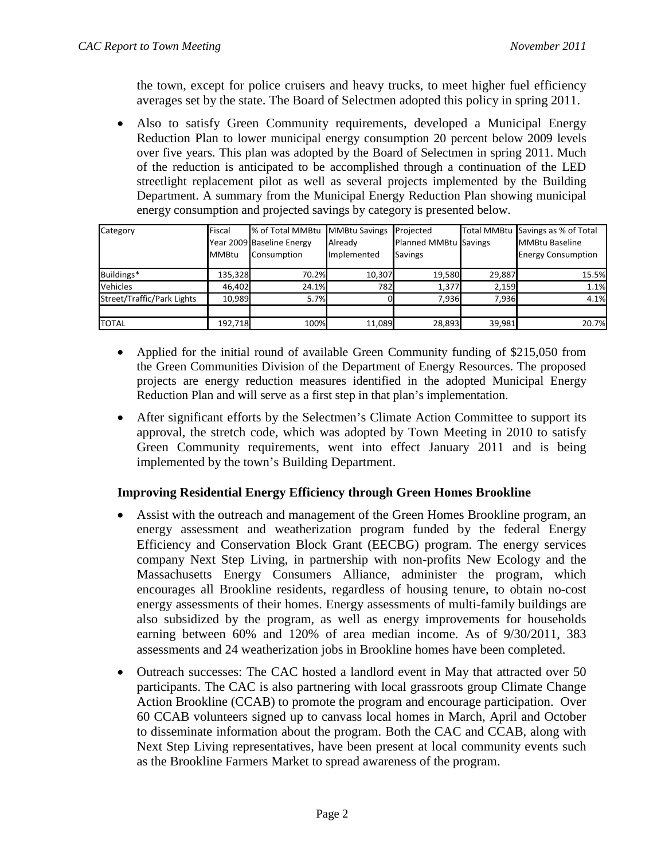the town, except for police cruisers and heavy trucks, to meet higher fuel efficiency averages set by the state. The Board of Selectmen adopted this policy in spring 2011.

• Also to satisfy Green Community requirements, developed a Municipal Energy Reduction Plan to lower municipal energy consumption 20 percent below 2009 levels over five years. This plan was adopted by the Board of Selectmen in spring 2011. Much of the reduction is anticipated to be accomplished through a continuation of the LED streetlight replacement pilot as well as several projects implemented by the Building Department. A summary from the Municipal Energy Reduction Plan showing municipal energy consumption and projected savings by category is presented below.

| Category                   | Fiscal<br><b>MMBtu</b> | % of Total MMBtu MMBtu Savings<br>Year 2009 Baseline Energy<br>Consumption | Already<br>Implemented | Projected<br>Planned MMBtu Savings<br><b>Savings</b> |        | Total MMBtu Savings as % of Total<br><b>MMBtu Baseline</b><br><b>Energy Consumption</b> |
|----------------------------|------------------------|----------------------------------------------------------------------------|------------------------|------------------------------------------------------|--------|-----------------------------------------------------------------------------------------|
| Buildings*                 | 135,328                | 70.2%                                                                      | 10,307                 | 19,580                                               | 29,887 | 15.5%                                                                                   |
| Vehicles                   | 46,402                 | 24.1%                                                                      | 782I                   | 1,377                                                | 2,159  | 1.1%                                                                                    |
| Street/Traffic/Park Lights | 10.989                 | 5.7%                                                                       |                        | 7,936                                                | 7,936  | 4.1%                                                                                    |
|                            |                        |                                                                            |                        |                                                      |        |                                                                                         |
| <b>TOTAL</b>               | 192,718                | 100%                                                                       | 11,089                 | 28,893                                               | 39,981 | 20.7%                                                                                   |

- Applied for the initial round of available Green Community funding of \$215,050 from the Green Communities Division of the Department of Energy Resources. The proposed projects are energy reduction measures identified in the adopted Municipal Energy Reduction Plan and will serve as a first step in that plan's implementation.
- After significant efforts by the Selectmen's Climate Action Committee to support its approval, the stretch code, which was adopted by Town Meeting in 2010 to satisfy Green Community requirements, went into effect January 2011 and is being implemented by the town's Building Department.

#### **Improving Residential Energy Efficiency through Green Homes Brookline**

- Assist with the outreach and management of the Green Homes Brookline program, an energy assessment and weatherization program funded by the federal Energy Efficiency and Conservation Block Grant (EECBG) program. The energy services company Next Step Living, in partnership with non-profits New Ecology and the Massachusetts Energy Consumers Alliance, administer the program, which encourages all Brookline residents, regardless of housing tenure, to obtain no-cost energy assessments of their homes. Energy assessments of multi-family buildings are also subsidized by the program, as well as energy improvements for households earning between 60% and 120% of area median income. As of 9/30/2011, 383 assessments and 24 weatherization jobs in Brookline homes have been completed.
- Outreach successes: The CAC hosted a landlord event in May that attracted over 50 participants. The CAC is also partnering with local grassroots group Climate Change Action Brookline (CCAB) to promote the program and encourage participation. Over 60 CCAB volunteers signed up to canvass local homes in March, April and October to disseminate information about the program. Both the CAC and CCAB, along with Next Step Living representatives, have been present at local community events such as the Brookline Farmers Market to spread awareness of the program.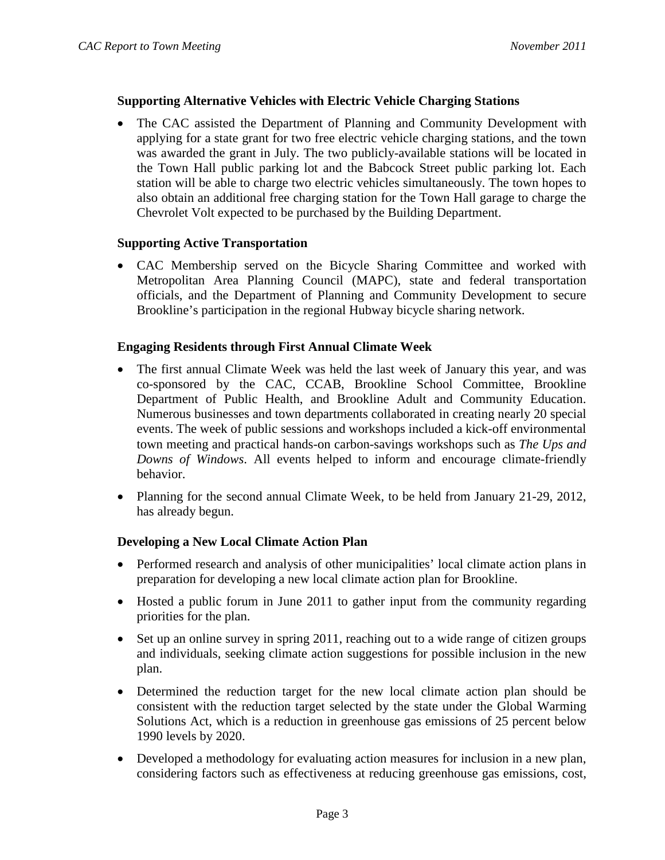## **Supporting Alternative Vehicles with Electric Vehicle Charging Stations**

• The CAC assisted the Department of Planning and Community Development with applying for a state grant for two free electric vehicle charging stations, and the town was awarded the grant in July. The two publicly-available stations will be located in the Town Hall public parking lot and the Babcock Street public parking lot. Each station will be able to charge two electric vehicles simultaneously. The town hopes to also obtain an additional free charging station for the Town Hall garage to charge the Chevrolet Volt expected to be purchased by the Building Department.

#### **Supporting Active Transportation**

• CAC Membership served on the Bicycle Sharing Committee and worked with Metropolitan Area Planning Council (MAPC), state and federal transportation officials, and the Department of Planning and Community Development to secure Brookline's participation in the regional Hubway bicycle sharing network.

## **Engaging Residents through First Annual Climate Week**

- The first annual Climate Week was held the last week of January this year, and was co-sponsored by the CAC, CCAB, Brookline School Committee, Brookline Department of Public Health, and Brookline Adult and Community Education. Numerous businesses and town departments collaborated in creating nearly 20 special events. The week of public sessions and workshops included a kick-off environmental town meeting and practical hands-on carbon-savings workshops such as *The Ups and Downs of Windows*. All events helped to inform and encourage climate-friendly behavior.
- Planning for the second annual Climate Week, to be held from January 21-29, 2012, has already begun.

# **Developing a New Local Climate Action Plan**

- Performed research and analysis of other municipalities' local climate action plans in preparation for developing a new local climate action plan for Brookline.
- Hosted a public forum in June 2011 to gather input from the community regarding priorities for the plan.
- Set up an online survey in spring 2011, reaching out to a wide range of citizen groups and individuals, seeking climate action suggestions for possible inclusion in the new plan.
- Determined the reduction target for the new local climate action plan should be consistent with the reduction target selected by the state under the Global Warming Solutions Act, which is a reduction in greenhouse gas emissions of 25 percent below 1990 levels by 2020.
- Developed a methodology for evaluating action measures for inclusion in a new plan, considering factors such as effectiveness at reducing greenhouse gas emissions, cost,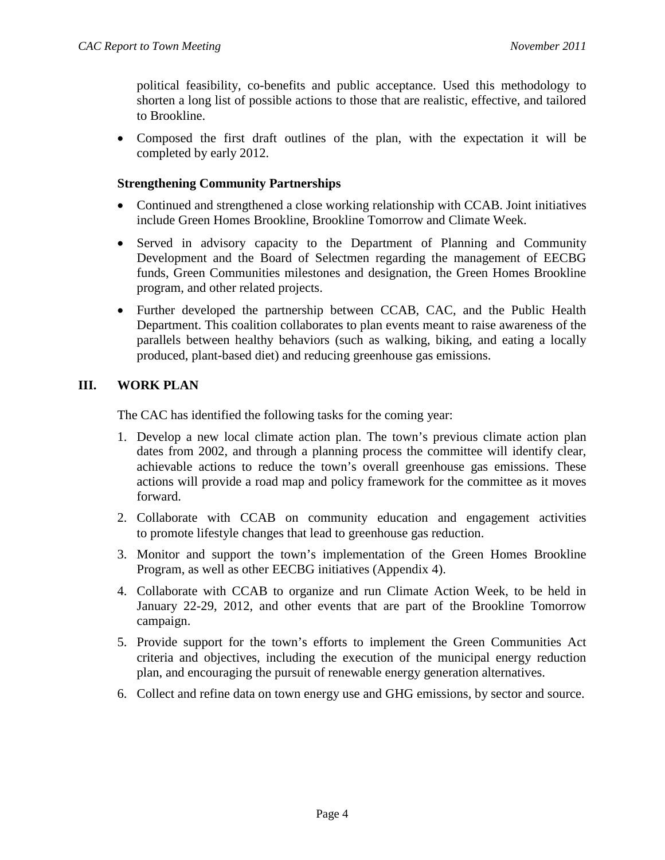political feasibility, co-benefits and public acceptance. Used this methodology to shorten a long list of possible actions to those that are realistic, effective, and tailored to Brookline.

• Composed the first draft outlines of the plan, with the expectation it will be completed by early 2012.

## **Strengthening Community Partnerships**

- Continued and strengthened a close working relationship with CCAB. Joint initiatives include Green Homes Brookline, Brookline Tomorrow and Climate Week.
- Served in advisory capacity to the Department of Planning and Community Development and the Board of Selectmen regarding the management of EECBG funds, Green Communities milestones and designation, the Green Homes Brookline program, and other related projects.
- Further developed the partnership between CCAB, CAC, and the Public Health Department. This coalition collaborates to plan events meant to raise awareness of the parallels between healthy behaviors (such as walking, biking, and eating a locally produced, plant-based diet) and reducing greenhouse gas emissions.

# **III. WORK PLAN**

The CAC has identified the following tasks for the coming year:

- 1. Develop a new local climate action plan. The town's previous climate action plan dates from 2002, and through a planning process the committee will identify clear, achievable actions to reduce the town's overall greenhouse gas emissions. These actions will provide a road map and policy framework for the committee as it moves forward.
- 2. Collaborate with CCAB on community education and engagement activities to promote lifestyle changes that lead to greenhouse gas reduction.
- 3. Monitor and support the town's implementation of the Green Homes Brookline Program, as well as other EECBG initiatives (Appendix 4).
- 4. Collaborate with CCAB to organize and run Climate Action Week, to be held in January 22-29, 2012, and other events that are part of the Brookline Tomorrow campaign.
- 5. Provide support for the town's efforts to implement the Green Communities Act criteria and objectives, including the execution of the municipal energy reduction plan, and encouraging the pursuit of renewable energy generation alternatives.
- 6. Collect and refine data on town energy use and GHG emissions, by sector and source.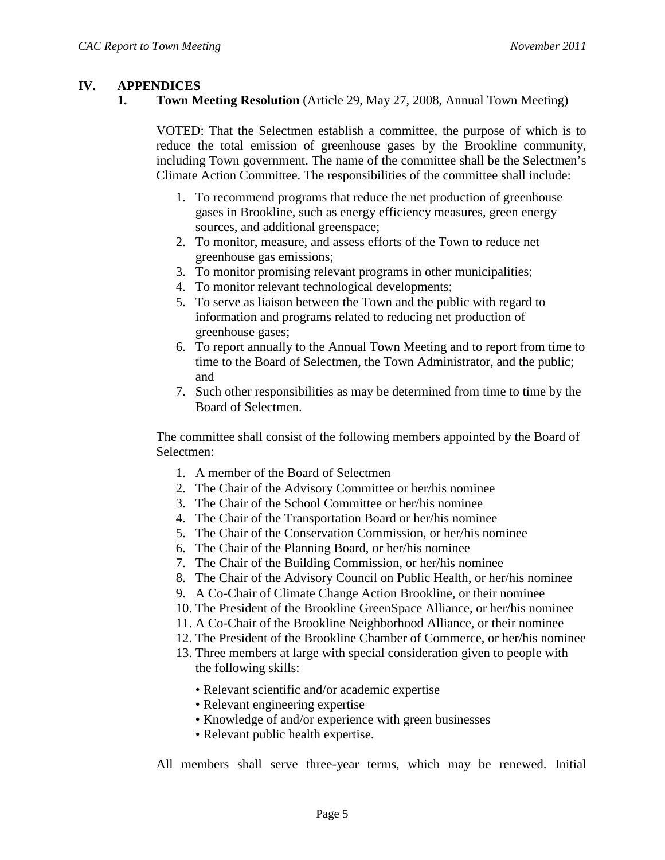## **IV. APPENDICES**

**1. Town Meeting Resolution** (Article 29, May 27, 2008, Annual Town Meeting)

VOTED: That the Selectmen establish a committee, the purpose of which is to reduce the total emission of greenhouse gases by the Brookline community, including Town government. The name of the committee shall be the Selectmen's Climate Action Committee. The responsibilities of the committee shall include:

- 1. To recommend programs that reduce the net production of greenhouse gases in Brookline, such as energy efficiency measures, green energy sources, and additional greenspace;
- 2. To monitor, measure, and assess efforts of the Town to reduce net greenhouse gas emissions;
- 3. To monitor promising relevant programs in other municipalities;
- 4. To monitor relevant technological developments;
- 5. To serve as liaison between the Town and the public with regard to information and programs related to reducing net production of greenhouse gases;
- 6. To report annually to the Annual Town Meeting and to report from time to time to the Board of Selectmen, the Town Administrator, and the public; and
- 7. Such other responsibilities as may be determined from time to time by the Board of Selectmen.

The committee shall consist of the following members appointed by the Board of Selectmen:

- 1. A member of the Board of Selectmen
- 2. The Chair of the Advisory Committee or her/his nominee
- 3. The Chair of the School Committee or her/his nominee
- 4. The Chair of the Transportation Board or her/his nominee
- 5. The Chair of the Conservation Commission, or her/his nominee
- 6. The Chair of the Planning Board, or her/his nominee
- 7. The Chair of the Building Commission, or her/his nominee
- 8. The Chair of the Advisory Council on Public Health, or her/his nominee
- 9. A Co-Chair of Climate Change Action Brookline, or their nominee
- 10. The President of the Brookline GreenSpace Alliance, or her/his nominee
- 11. A Co-Chair of the Brookline Neighborhood Alliance, or their nominee
- 12. The President of the Brookline Chamber of Commerce, or her/his nominee
- 13. Three members at large with special consideration given to people with the following skills:
	- Relevant scientific and/or academic expertise
	- Relevant engineering expertise
	- Knowledge of and/or experience with green businesses
	- Relevant public health expertise.
- All members shall serve three-year terms, which may be renewed. Initial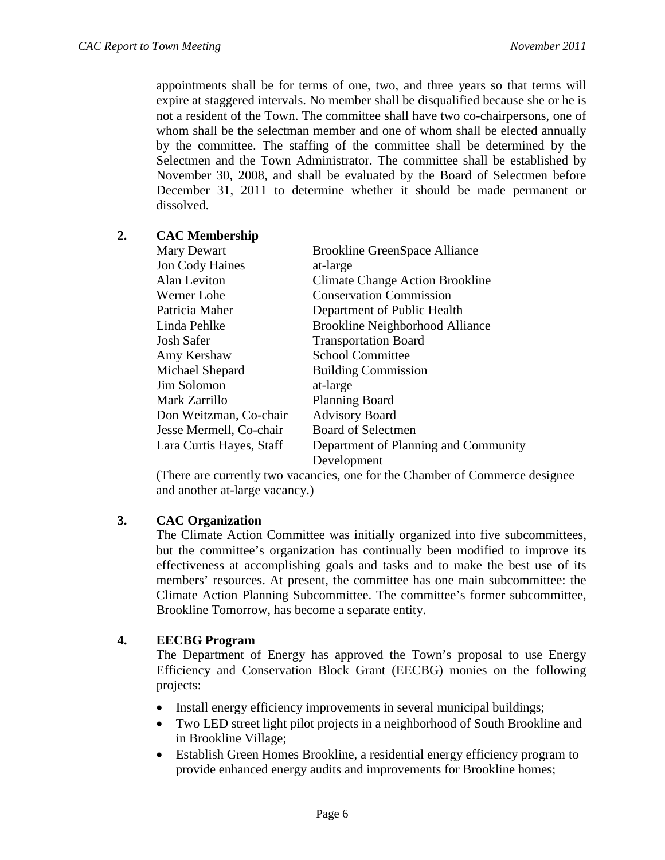appointments shall be for terms of one, two, and three years so that terms will expire at staggered intervals. No member shall be disqualified because she or he is not a resident of the Town. The committee shall have two co-chairpersons, one of whom shall be the selectman member and one of whom shall be elected annually by the committee. The staffing of the committee shall be determined by the Selectmen and the Town Administrator. The committee shall be established by November 30, 2008, and shall be evaluated by the Board of Selectmen before December 31, 2011 to determine whether it should be made permanent or dissolved.

## **2. CAC Membership**

| Mary Dewart              | <b>Brookline GreenSpace Alliance</b>   |
|--------------------------|----------------------------------------|
| <b>Jon Cody Haines</b>   | at-large                               |
| Alan Leviton             | <b>Climate Change Action Brookline</b> |
| Werner Lohe              | <b>Conservation Commission</b>         |
| Patricia Maher           | Department of Public Health            |
| Linda Pehlke             | <b>Brookline Neighborhood Alliance</b> |
| <b>Josh Safer</b>        | <b>Transportation Board</b>            |
| Amy Kershaw              | <b>School Committee</b>                |
| Michael Shepard          | <b>Building Commission</b>             |
| Jim Solomon              | at-large                               |
| Mark Zarrillo            | <b>Planning Board</b>                  |
| Don Weitzman, Co-chair   | <b>Advisory Board</b>                  |
| Jesse Mermell, Co-chair  | <b>Board of Selectmen</b>              |
| Lara Curtis Hayes, Staff | Department of Planning and Community   |
|                          | Development                            |

(There are currently two vacancies, one for the Chamber of Commerce designee and another at-large vacancy.)

#### **3. CAC Organization**

The Climate Action Committee was initially organized into five subcommittees, but the committee's organization has continually been modified to improve its effectiveness at accomplishing goals and tasks and to make the best use of its members' resources. At present, the committee has one main subcommittee: the Climate Action Planning Subcommittee. The committee's former subcommittee, Brookline Tomorrow, has become a separate entity.

# **4. EECBG Program**

The Department of Energy has approved the Town's proposal to use Energy Efficiency and Conservation Block Grant (EECBG) monies on the following projects:

- Install energy efficiency improvements in several municipal buildings;
- Two LED street light pilot projects in a neighborhood of South Brookline and in Brookline Village;
- Establish Green Homes Brookline, a residential energy efficiency program to provide enhanced energy audits and improvements for Brookline homes;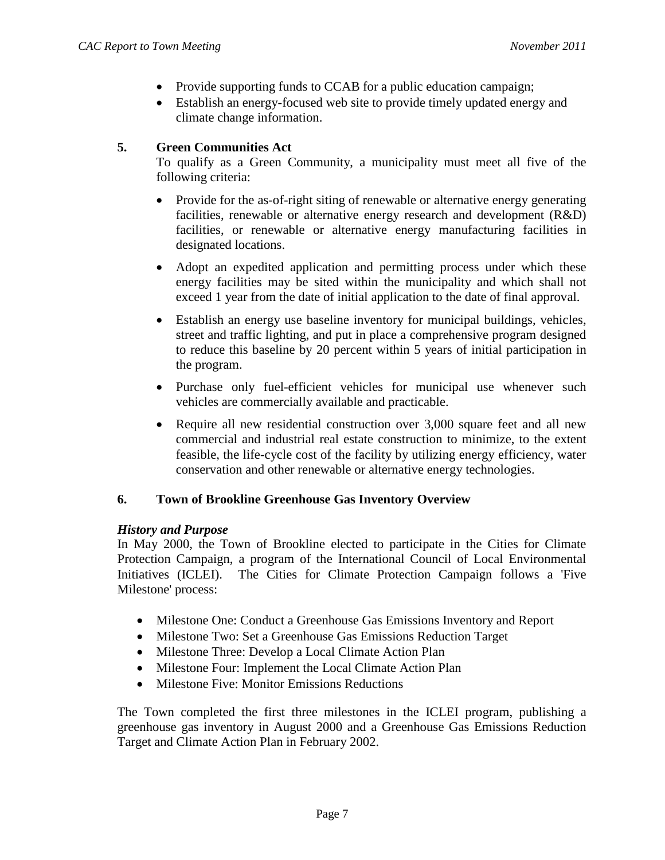- Provide supporting funds to CCAB for a public education campaign;
- Establish an energy-focused web site to provide timely updated energy and climate change information.

# **5. Green Communities Act**

To qualify as a Green Community, a municipality must meet all five of the following criteria:

- Provide for the as-of-right siting of renewable or alternative energy generating facilities, renewable or alternative energy research and development (R&D) facilities, or renewable or alternative energy manufacturing facilities in designated locations.
- Adopt an expedited application and permitting process under which these energy facilities may be sited within the municipality and which shall not exceed 1 year from the date of initial application to the date of final approval.
- Establish an energy use baseline inventory for municipal buildings, vehicles, street and traffic lighting, and put in place a comprehensive program designed to reduce this baseline by 20 percent within 5 years of initial participation in the program.
- Purchase only fuel-efficient vehicles for municipal use whenever such vehicles are commercially available and practicable.
- Require all new residential construction over 3,000 square feet and all new commercial and industrial real estate construction to minimize, to the extent feasible, the life-cycle cost of the facility by utilizing energy efficiency, water conservation and other renewable or alternative energy technologies.

#### **6. Town of Brookline Greenhouse Gas Inventory Overview**

#### *History and Purpose*

In May 2000, the Town of Brookline elected to participate in the Cities for Climate Protection Campaign, a program of the International Council of Local Environmental Initiatives (ICLEI). The Cities for Climate Protection Campaign follows a 'Five Milestone' process:

- Milestone One: Conduct a Greenhouse Gas Emissions Inventory and Report
- Milestone Two: Set a Greenhouse Gas Emissions Reduction Target
- Milestone Three: Develop a Local Climate Action Plan
- Milestone Four: Implement the Local Climate Action Plan
- Milestone Five: Monitor Emissions Reductions

The Town completed the first three milestones in the ICLEI program, publishing a greenhouse gas inventory in August 2000 and a Greenhouse Gas Emissions Reduction Target and Climate Action Plan in February 2002.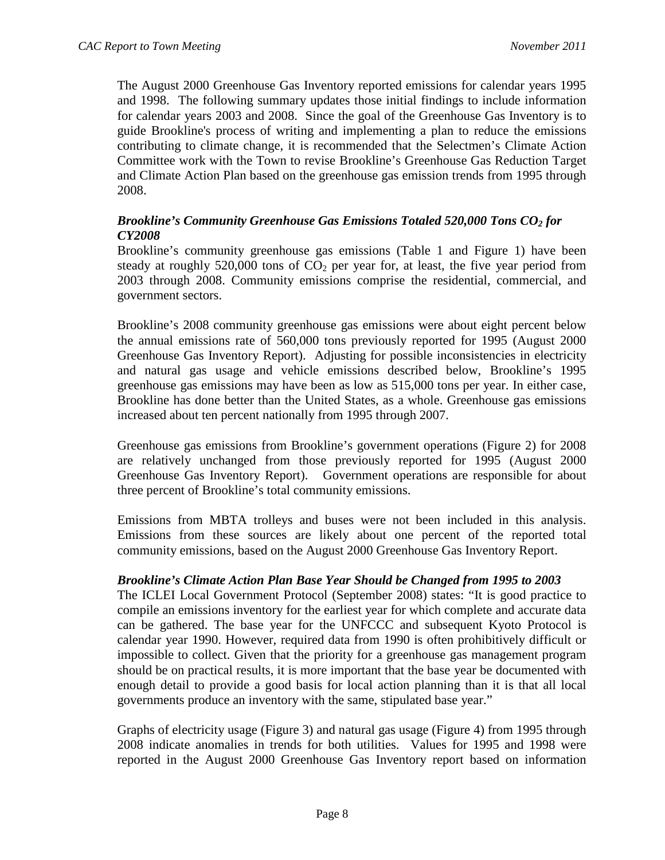The August 2000 Greenhouse Gas Inventory reported emissions for calendar years 1995 and 1998. The following summary updates those initial findings to include information for calendar years 2003 and 2008. Since the goal of the Greenhouse Gas Inventory is to guide Brookline's process of writing and implementing a plan to reduce the emissions contributing to climate change, it is recommended that the Selectmen's Climate Action Committee work with the Town to revise Brookline's Greenhouse Gas Reduction Target and Climate Action Plan based on the greenhouse gas emission trends from 1995 through 2008.

# *Brookline's Community Greenhouse Gas Emissions Totaled 520,000 Tons CO2 for CY2008*

Brookline's community greenhouse gas emissions (Table 1 and Figure 1) have been steady at roughly 520,000 tons of  $CO<sub>2</sub>$  per year for, at least, the five year period from 2003 through 2008. Community emissions comprise the residential, commercial, and government sectors.

Brookline's 2008 community greenhouse gas emissions were about eight percent below the annual emissions rate of 560,000 tons previously reported for 1995 (August 2000 Greenhouse Gas Inventory Report). Adjusting for possible inconsistencies in electricity and natural gas usage and vehicle emissions described below, Brookline's 1995 greenhouse gas emissions may have been as low as 515,000 tons per year. In either case, Brookline has done better than the United States, as a whole. Greenhouse gas emissions increased about ten percent nationally from 1995 through 2007.

Greenhouse gas emissions from Brookline's government operations (Figure 2) for 2008 are relatively unchanged from those previously reported for 1995 (August 2000 Greenhouse Gas Inventory Report). Government operations are responsible for about three percent of Brookline's total community emissions.

Emissions from MBTA trolleys and buses were not been included in this analysis. Emissions from these sources are likely about one percent of the reported total community emissions, based on the August 2000 Greenhouse Gas Inventory Report.

#### *Brookline's Climate Action Plan Base Year Should be Changed from 1995 to 2003*

The ICLEI Local Government Protocol (September 2008) states: "It is good practice to compile an emissions inventory for the earliest year for which complete and accurate data can be gathered. The base year for the UNFCCC and subsequent Kyoto Protocol is calendar year 1990. However, required data from 1990 is often prohibitively difficult or impossible to collect. Given that the priority for a greenhouse gas management program should be on practical results, it is more important that the base year be documented with enough detail to provide a good basis for local action planning than it is that all local governments produce an inventory with the same, stipulated base year."

Graphs of electricity usage (Figure 3) and natural gas usage (Figure 4) from 1995 through 2008 indicate anomalies in trends for both utilities. Values for 1995 and 1998 were reported in the August 2000 Greenhouse Gas Inventory report based on information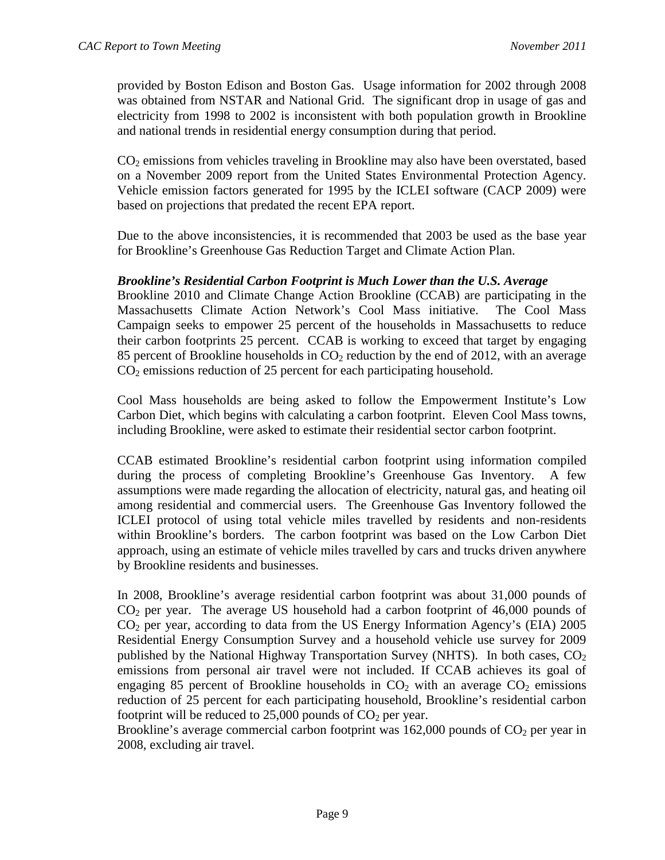provided by Boston Edison and Boston Gas. Usage information for 2002 through 2008 was obtained from NSTAR and National Grid. The significant drop in usage of gas and electricity from 1998 to 2002 is inconsistent with both population growth in Brookline and national trends in residential energy consumption during that period.

 $CO<sub>2</sub>$  emissions from vehicles traveling in Brookline may also have been overstated, based on a November 2009 report from the United States Environmental Protection Agency. Vehicle emission factors generated for 1995 by the ICLEI software (CACP 2009) were based on projections that predated the recent EPA report.

Due to the above inconsistencies, it is recommended that 2003 be used as the base year for Brookline's Greenhouse Gas Reduction Target and Climate Action Plan.

## *Brookline's Residential Carbon Footprint is Much Lower than the U.S. Average*

Brookline 2010 and Climate Change Action Brookline (CCAB) are participating in the Massachusetts Climate Action Network's Cool Mass initiative. The Cool Mass Campaign seeks to empower 25 percent of the households in Massachusetts to reduce their carbon footprints 25 percent. CCAB is working to exceed that target by engaging 85 percent of Brookline households in  $CO<sub>2</sub>$  reduction by the end of 2012, with an average  $CO<sub>2</sub>$  emissions reduction of 25 percent for each participating household.

Cool Mass households are being asked to follow the Empowerment Institute's Low Carbon Diet, which begins with calculating a carbon footprint. Eleven Cool Mass towns, including Brookline, were asked to estimate their residential sector carbon footprint.

CCAB estimated Brookline's residential carbon footprint using information compiled during the process of completing Brookline's Greenhouse Gas Inventory. A few assumptions were made regarding the allocation of electricity, natural gas, and heating oil among residential and commercial users. The Greenhouse Gas Inventory followed the ICLEI protocol of using total vehicle miles travelled by residents and non-residents within Brookline's borders. The carbon footprint was based on the Low Carbon Diet approach, using an estimate of vehicle miles travelled by cars and trucks driven anywhere by Brookline residents and businesses.

In 2008, Brookline's average residential carbon footprint was about 31,000 pounds of  $CO<sub>2</sub>$  per year. The average US household had a carbon footprint of 46,000 pounds of  $CO<sub>2</sub>$  per year, according to data from the US Energy Information Agency's (EIA) 2005 Residential Energy Consumption Survey and a household vehicle use survey for 2009 published by the National Highway Transportation Survey (NHTS). In both cases,  $CO<sub>2</sub>$ emissions from personal air travel were not included. If CCAB achieves its goal of engaging 85 percent of Brookline households in  $CO<sub>2</sub>$  with an average  $CO<sub>2</sub>$  emissions reduction of 25 percent for each participating household, Brookline's residential carbon footprint will be reduced to 25,000 pounds of  $CO<sub>2</sub>$  per year.

Brookline's average commercial carbon footprint was  $162,000$  pounds of  $CO<sub>2</sub>$  per year in 2008, excluding air travel.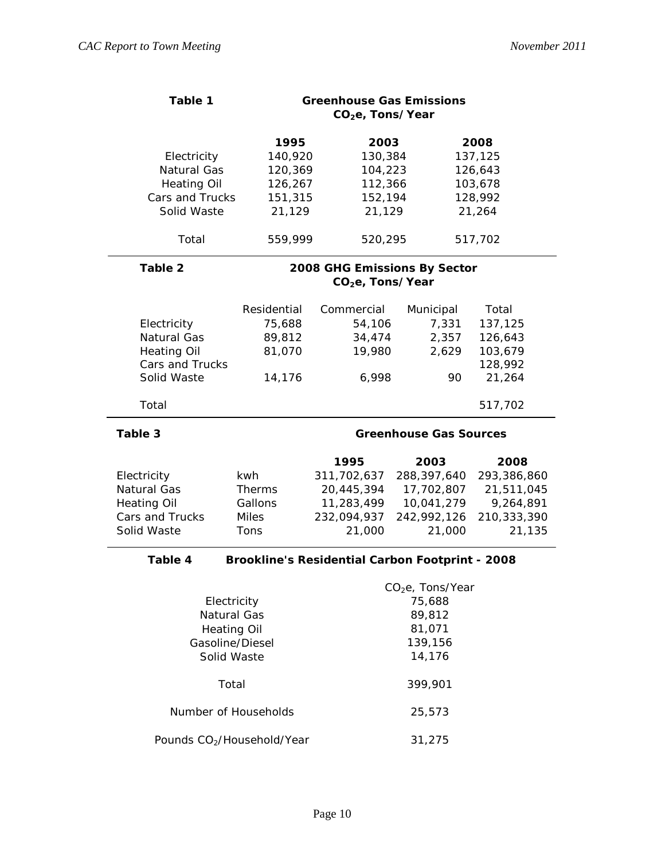| Table 1                                                           |               | <b>Greenhouse Gas Emissions</b><br>CO <sub>2</sub> e, Tons/Year |                              |             |  |
|-------------------------------------------------------------------|---------------|-----------------------------------------------------------------|------------------------------|-------------|--|
|                                                                   | 1995          | 2003                                                            |                              | 2008        |  |
| Electricity                                                       | 140,920       | 130,384                                                         |                              | 137,125     |  |
| Natural Gas                                                       | 120,369       | 104,223                                                         |                              | 126,643     |  |
| <b>Heating Oil</b>                                                | 126,267       | 112,366                                                         |                              | 103,678     |  |
| Cars and Trucks                                                   | 151,315       | 152,194                                                         |                              | 128,992     |  |
| Solid Waste                                                       | 21,129        | 21,129                                                          |                              | 21,264      |  |
| Total                                                             | 559,999       | 520,295                                                         |                              | 517,702     |  |
| Table 2                                                           |               | 2008 GHG Emissions By Sector<br>CO <sub>2</sub> e, Tons/Year    |                              |             |  |
|                                                                   |               |                                                                 |                              |             |  |
|                                                                   | Residential   | Commercial                                                      | Municipal                    | Total       |  |
| Electricity                                                       | 75,688        | 54,106                                                          | 7,331                        | 137,125     |  |
| Natural Gas                                                       | 89,812        | 34,474                                                          | 2,357                        | 126,643     |  |
| <b>Heating Oil</b>                                                | 81,070        | 19,980                                                          | 2,629                        | 103,679     |  |
| Cars and Trucks                                                   |               |                                                                 |                              | 128,992     |  |
| Solid Waste                                                       | 14,176        | 6,998                                                           | 90                           | 21,264      |  |
| Total                                                             |               |                                                                 |                              | 517,702     |  |
| Table 3                                                           |               | <b>Greenhouse Gas Sources</b>                                   |                              |             |  |
|                                                                   |               | 1995                                                            | 2003                         | 2008        |  |
| Electricity                                                       | kwh           | 311,702,637                                                     | 288,397,640                  | 293,386,860 |  |
| Natural Gas                                                       | <b>Therms</b> | 20,445,394                                                      | 17,702,807                   | 21,511,045  |  |
| <b>Heating Oil</b>                                                | Gallons       | 11,283,499                                                      | 10,041,279                   | 9,264,891   |  |
| Cars and Trucks                                                   | <b>Miles</b>  | 232,094,937                                                     | 242,992,126                  | 210,333,390 |  |
| Solid Waste                                                       | Tons          | 21,000                                                          | 21,000                       | 21,135      |  |
| Table 4<br><b>Brookline's Residential Carbon Footprint - 2008</b> |               |                                                                 |                              |             |  |
|                                                                   |               |                                                                 | CO <sub>2</sub> e, Tons/Year |             |  |
| Electricity                                                       |               | 75,688                                                          |                              |             |  |
| Natural Gas                                                       |               | 89,812                                                          |                              |             |  |
| <b>Heating Oil</b>                                                |               | 81,071                                                          |                              |             |  |
| Gasoline/Diesel                                                   |               | 139,156                                                         |                              |             |  |
| Solid Waste                                                       |               | 14,176                                                          |                              |             |  |
| Total                                                             |               | 399,901                                                         |                              |             |  |
| Number of Households                                              |               | 25,573                                                          |                              |             |  |

Pounds CO<sub>2</sub>/Household/Year 31,275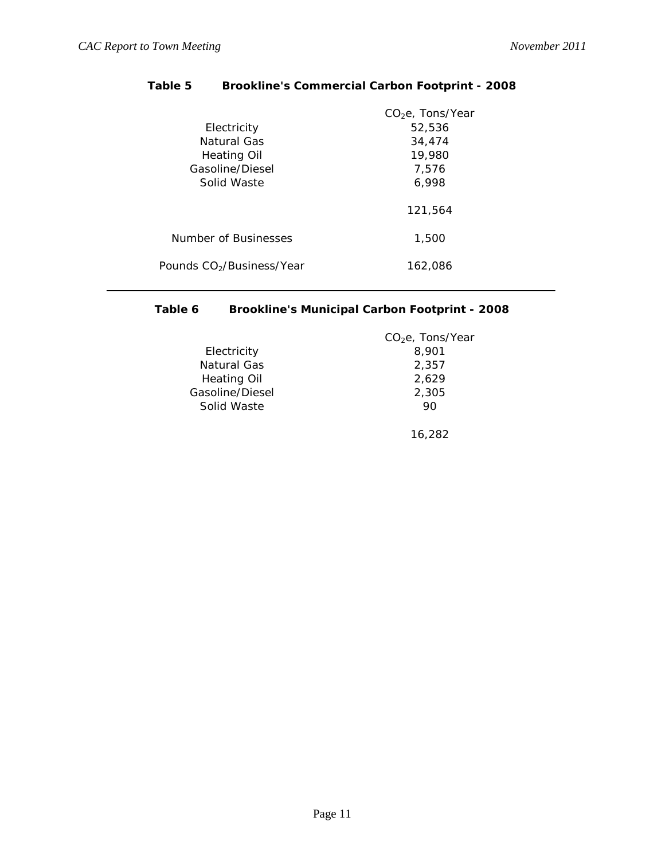|                                       | CO <sub>2</sub> e, Tons/Year |
|---------------------------------------|------------------------------|
| Electricity                           | 52,536                       |
| Natural Gas                           | 34,474                       |
| Heating Oil                           | 19,980                       |
| Gasoline/Diesel                       | 7.576                        |
| Solid Waste                           | 6,998                        |
|                                       | 121,564                      |
| Number of Businesses                  | 1,500                        |
| Pounds CO <sub>2</sub> /Business/Year | 162.086                      |
|                                       |                              |

# **Table 5 Brookline's Commercial Carbon Footprint - 2008**

# **Table 6 Brookline's Municipal Carbon Footprint - 2008**

|                    | $CO2e$ , Tons/Year |
|--------------------|--------------------|
| Electricity        | 8.901              |
| Natural Gas        | 2.357              |
| <b>Heating Oil</b> | 2.629              |
| Gasoline/Diesel    | 2,305              |
| Solid Waste        | 90                 |
|                    |                    |

16,282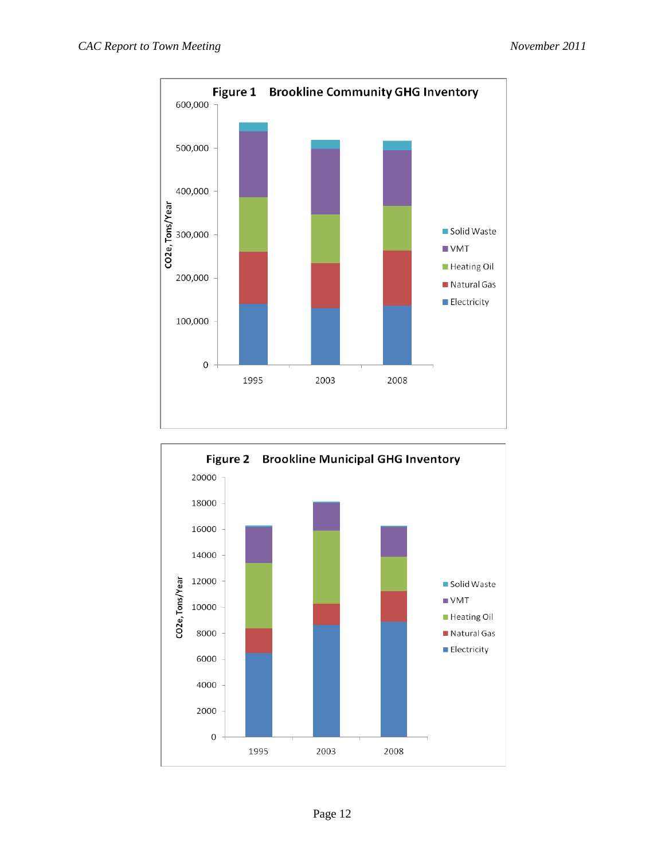